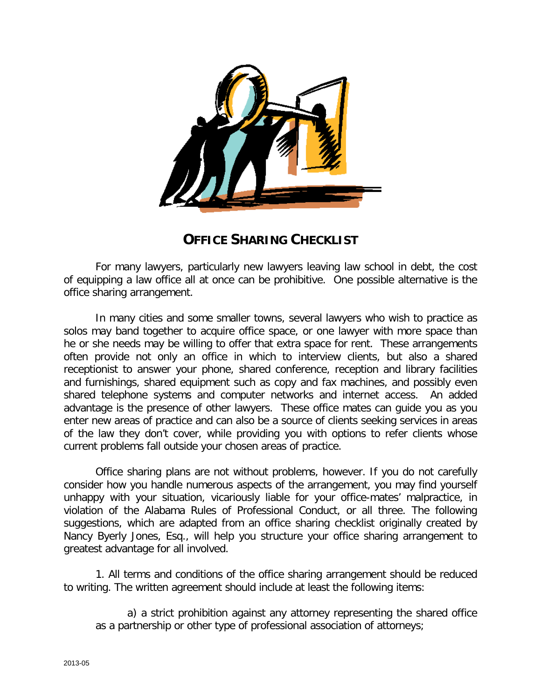

## **OFFICE SHARING CHECKLIST**

For many lawyers, particularly new lawyers leaving law school in debt, the cost of equipping a law office all at once can be prohibitive. One possible alternative is the office sharing arrangement.

In many cities and some smaller towns, several lawyers who wish to practice as solos may band together to acquire office space, or one lawyer with more space than he or she needs may be willing to offer that extra space for rent. These arrangements often provide not only an office in which to interview clients, but also a shared receptionist to answer your phone, shared conference, reception and library facilities and furnishings, shared equipment such as copy and fax machines, and possibly even shared telephone systems and computer networks and internet access. An added advantage is the presence of other lawyers. These office mates can guide you as you enter new areas of practice and can also be a source of clients seeking services in areas of the law they don't cover, while providing you with options to refer clients whose current problems fall outside your chosen areas of practice.

Office sharing plans are not without problems, however. If you do not carefully consider how you handle numerous aspects of the arrangement, you may find yourself unhappy with your situation, vicariously liable for your office-mates' malpractice, in violation of the Alabama Rules of Professional Conduct, or all three. The following suggestions, which are adapted from an office sharing checklist originally created by Nancy Byerly Jones, Esq., will help you structure your office sharing arrangement to greatest advantage for all involved.

1. All terms and conditions of the office sharing arrangement should be reduced to writing. The written agreement should include at least the following items:

a) a strict prohibition against any attorney representing the shared office as a partnership or other type of professional association of attorneys;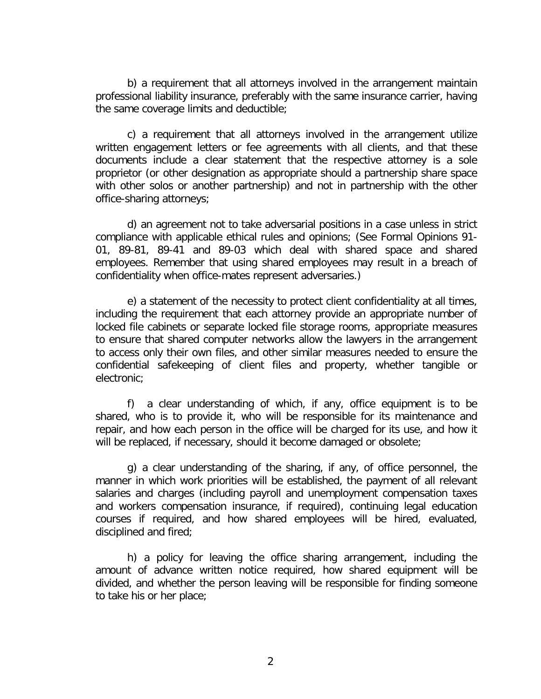b) a requirement that all attorneys involved in the arrangement maintain professional liability insurance, preferably with the same insurance carrier, having the same coverage limits and deductible;

c) a requirement that all attorneys involved in the arrangement utilize written engagement letters or fee agreements with all clients, and that these documents include a clear statement that the respective attorney is a sole proprietor (or other designation as appropriate should a partnership share space with other solos or another partnership) and not in partnership with the other office-sharing attorneys;

d) an agreement not to take adversarial positions in a case unless in strict compliance with applicable ethical rules and opinions; (See Formal Opinions 91- 01, 89-81, 89-41 and 89-03 which deal with shared space and shared employees. Remember that using shared employees may result in a breach of confidentiality when office-mates represent adversaries.)

e) a statement of the necessity to protect client confidentiality at all times, including the requirement that each attorney provide an appropriate number of locked file cabinets or separate locked file storage rooms, appropriate measures to ensure that shared computer networks allow the lawyers in the arrangement to access only their own files, and other similar measures needed to ensure the confidential safekeeping of client files and property, whether tangible or electronic;

f) a clear understanding of which, if any, office equipment is to be shared, who is to provide it, who will be responsible for its maintenance and repair, and how each person in the office will be charged for its use, and how it will be replaced, if necessary, should it become damaged or obsolete;

g) a clear understanding of the sharing, if any, of office personnel, the manner in which work priorities will be established, the payment of all relevant salaries and charges (including payroll and unemployment compensation taxes and workers compensation insurance, if required), continuing legal education courses if required, and how shared employees will be hired, evaluated, disciplined and fired;

h) a policy for leaving the office sharing arrangement, including the amount of advance written notice required, how shared equipment will be divided, and whether the person leaving will be responsible for finding someone to take his or her place;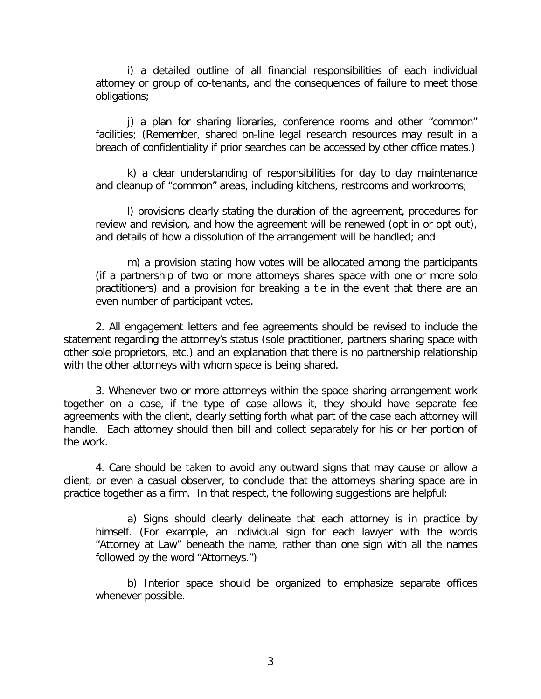i) a detailed outline of all financial responsibilities of each individual attorney or group of co-tenants, and the consequences of failure to meet those obligations;

j) a plan for sharing libraries, conference rooms and other "common" facilities; (Remember, shared on-line legal research resources may result in a breach of confidentiality if prior searches can be accessed by other office mates.)

k) a clear understanding of responsibilities for day to day maintenance and cleanup of "common" areas, including kitchens, restrooms and workrooms;

l) provisions clearly stating the duration of the agreement, procedures for review and revision, and how the agreement will be renewed (opt in or opt out), and details of how a dissolution of the arrangement will be handled; and

m) a provision stating how votes will be allocated among the participants (if a partnership of two or more attorneys shares space with one or more solo practitioners) and a provision for breaking a tie in the event that there are an even number of participant votes.

2. All engagement letters and fee agreements should be revised to include the statement regarding the attorney's status (sole practitioner, partners sharing space with other sole proprietors, etc.) and an explanation that there is no partnership relationship with the other attorneys with whom space is being shared.

3. Whenever two or more attorneys within the space sharing arrangement work together on a case, if the type of case allows it, they should have separate fee agreements with the client, clearly setting forth what part of the case each attorney will handle. Each attorney should then bill and collect separately for his or her portion of the work.

4. Care should be taken to avoid any outward signs that may cause or allow a client, or even a casual observer, to conclude that the attorneys sharing space are in practice together as a firm. In that respect, the following suggestions are helpful:

a) Signs should clearly delineate that each attorney is in practice by himself. (For example, an individual sign for each lawyer with the words "Attorney at Law" beneath the name, rather than one sign with all the names followed by the word "Attorneys.")

b) Interior space should be organized to emphasize separate offices whenever possible.